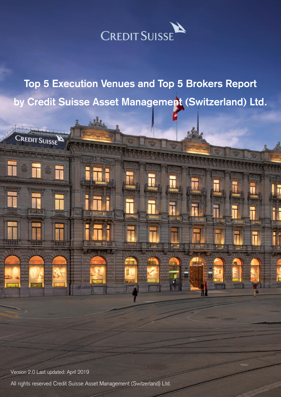

**Top 5 Execution Venues and Top 5 Brokers Report by Credit Suisse Asset Management (Switzerland) Ltd.**

THIM

**ISSE** 

**MANIT** 

**MILLET AND IN** 

**INTERCREATE** 

**MANITE** 

聯



**CREDIT SUISSE** 

**TRUAT** 

**TEETERS** 

1111111

WWW

All rights reserved Credit Suisse Asset Management (Switzerland) Ltd.

un III

**RADA** 

۳Ť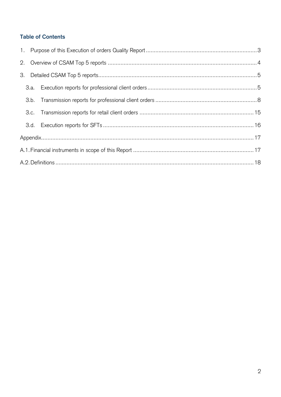#### **Table of Contents**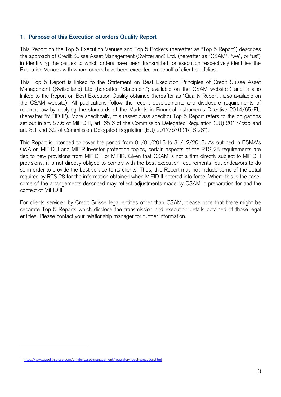#### <span id="page-2-0"></span>**1. Purpose of this Execution of orders Quality Report**

This Report on the Top 5 Execution Venues and Top 5 Brokers (hereafter as "Top 5 Report") describes the approach of Credit Suisse Asset Management (Switzerland) Ltd. (hereafter as "CSAM", "we", or "us") in identifying the parties to which orders have been transmitted for execution respectively identifies the Execution Venues with whom orders have been executed on behalf of client portfolios.

This Top 5 Report is linked to the Statement on Best Execution Principles of Credit Suisse Asset Management (Switzerland) Ltd (hereafter "Statement"; available on the CSAM website<sup>1</sup>) and is also linked to the Report on Best Execution Quality obtained (hereafter as "Quality Report", also available on the CSAM website). All publications follow the recent developments and disclosure requirements of relevant law by applying the standards of the Markets in Financial Instruments Directive 2014/65/EU (hereafter "MiFID II"). More specifically, this (asset class specific) Top 5 Report refers to the obligations set out in art. 27.6 of MiFID II, art. 65.6 of the Commission Delegated Regulation (EU) 2017/565 and art. 3.1 and 3.2 of Commission Delegated Regulation (EU) 2017/576 ("RTS 28").

This Report is intended to cover the period from 01/01/2018 to 31/12/2018. As outlined in ESMA's Q&A on MiFID II and MiFIR investor protection topics, certain aspects of the RTS 28 requirements are tied to new provisions from MiFID II or MiFIR. Given that CSAM is not a firm directly subject to MiFID II provisions, it is not directly obliged to comply with the best execution requirements, but endeavors to do so in order to provide the best service to its clients. Thus, this Report may not include some of the detail required by RTS 28 for the information obtained when MiFID II entered into force. Where this is the case, some of the arrangements described may reflect adjustments made by CSAM in preparation for and the context of MiFID II.

For clients serviced by Credit Suisse legal entities other than CSAM, please note that there might be separate Top 5 Reports which disclose the transmission and execution details obtained of those legal entities. Please contact your relationship manager for further information.

 $\overline{a}$ 

<sup>1</sup> <https://www.credit-suisse.com/ch/de/asset-management/regulatory/best-execution.html>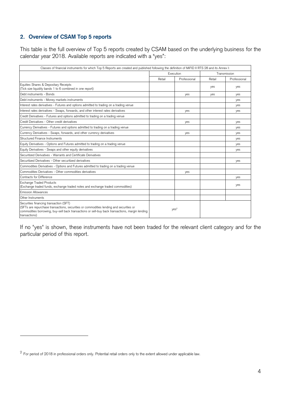#### <span id="page-3-0"></span>**2. Overview of CSAM Top 5 reports**

This table is the full overview of Top 5 reports created by CSAM based on the underlying business for the calendar year 2018. Available reports are indicated with a "yes":

| Classes of financial instruments for which Top 5 Reports are created and published following the definition of MiFID II RTS 28 and its Annex I:                                                                                                      |                  |              |        |              |
|------------------------------------------------------------------------------------------------------------------------------------------------------------------------------------------------------------------------------------------------------|------------------|--------------|--------|--------------|
|                                                                                                                                                                                                                                                      |                  | Execution    |        | Transmission |
|                                                                                                                                                                                                                                                      | Retail           | Professional | Retail | Professional |
| Equities Shares & Depositary Receipts<br>(Tick size liquidity bands 1 to 6 combined in one report)                                                                                                                                                   |                  |              | yes    | yes          |
| Debt instruments - Bonds                                                                                                                                                                                                                             |                  | yes          | yes    | yes          |
| Debt instruments - Money markets instruments                                                                                                                                                                                                         |                  |              |        | yes          |
| Interest rates derivatives - Futures and options admitted to trading on a trading venue                                                                                                                                                              |                  |              |        | yes          |
| Interest rates derivatives - Swaps, forwards, and other interest rates derivatives                                                                                                                                                                   |                  | yes          |        | yes          |
| Credit Derivatives - Futures and options admitted to trading on a trading venue                                                                                                                                                                      |                  |              |        |              |
| Credit Derivatives - Other credit derivatives                                                                                                                                                                                                        |                  | yes          |        | yes          |
| Currency Derivatives - Futures and options admitted to trading on a trading venue                                                                                                                                                                    |                  |              |        | yes          |
| Currency Derivatives - Swaps, forwards, and other currency derivatives                                                                                                                                                                               |                  | yes          |        | yes          |
| Structured Finance Instruments                                                                                                                                                                                                                       |                  |              |        | yes          |
| Equity Derivatives - Options and Futures admitted to trading on a trading venue                                                                                                                                                                      |                  |              |        | yes          |
| Equity Derivatives - Swaps and other equity derivatives                                                                                                                                                                                              |                  |              |        | yes          |
| Securitized Derivatives - Warrants and Certificate Derivatives                                                                                                                                                                                       |                  |              |        |              |
| Securitized Derivatives - Other securitized derivatives                                                                                                                                                                                              |                  |              |        | yes          |
| Commodities Derivatives - Options and Futures admitted to trading on a trading venue                                                                                                                                                                 |                  |              |        |              |
| Commodities Derivatives - Other commodities derivatives                                                                                                                                                                                              |                  | yes          |        |              |
| Contracts for Difference                                                                                                                                                                                                                             |                  |              |        | yes          |
| <b>Exchange Traded Products</b><br>(Exchange traded funds, exchange traded notes and exchange traded commodities)                                                                                                                                    |                  |              |        | yes          |
| Emission Allowances                                                                                                                                                                                                                                  |                  |              |        |              |
| Other Instruments                                                                                                                                                                                                                                    |                  |              |        |              |
| Securities financing transaction (SFT)<br>(SFTs are repurchase transactions, securities or commodities lending and securities or<br>commodities borrowing, buy-sell back transactions or sell-buy back transactions, margin lending<br>transactions) | yes <sup>2</sup> |              |        |              |

If no "yes" is shown, these instruments have not been traded for the relevant client category and for the particular period of this report.

 $\overline{a}$ 

 $^2$  For period of 2018 in professional orders only. Potential retail orders only to the extent allowed under applicable law.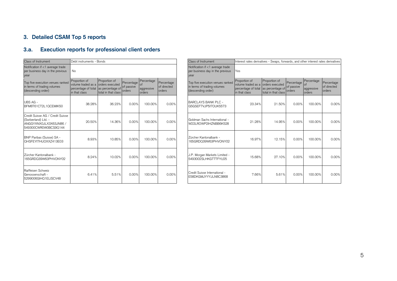# **3. Detailed CSAM Top 5 reports**

# **3.a. Execution reports for professional client orders**

<span id="page-4-1"></span><span id="page-4-0"></span>

| Class of Instrument                                                                                        | Debt instruments - Bonds                                                    |                                                                             |                                    |                                                  |                                     |
|------------------------------------------------------------------------------------------------------------|-----------------------------------------------------------------------------|-----------------------------------------------------------------------------|------------------------------------|--------------------------------------------------|-------------------------------------|
| Notification if <1 average trade<br>per business day in the previous<br>year                               | No                                                                          |                                                                             |                                    |                                                  |                                     |
| Top five execution venues ranked<br>in terms of trading volumes<br>(descending order)                      | Proportion of<br>volume traded as a<br>percentage of total<br>in that class | Proportion of<br>orders executed<br>as percentage of<br>total in that class | Percentage<br>of passive<br>orders | Percentage<br>$\alpha$ f<br>aggressive<br>orders | Percentage<br>of directed<br>orders |
| UBS AG -<br>BFM8T61CT2L1QCEMIK50                                                                           | 38.28%                                                                      | 36.23%                                                                      | $0.00\%$                           | 100.00%                                          | 0.00%                               |
| Credit Suisse AG / Credit Suisse<br>(Switzerland) Ltd. -<br>ANGGYXNX0JLX3X63JN86 /<br>549300CWR0W0BCS9Q144 | 20.50%                                                                      | 14.36%                                                                      | $0.00\%$                           | 100.00%                                          | 0.00%                               |
| BNP Paribas (Suisse) SA -<br>QHSFEYI7HUOXXZ413E03                                                          | 8.93%                                                                       | 10.85%                                                                      | 0.00%                              | 100.00%                                          | 0.00%                               |
| Zürcher Kantonalbank -<br>165GRDQ39W63PHVONY02                                                             | 8.24%                                                                       | 10.02%                                                                      | $0.00\%$                           | 100.00%                                          | 0.00%                               |
| Raiffeisen Schweiz<br>Genossenschaft -<br>5299006GIHQ1ELISCV48                                             | 6.41%                                                                       | 5.51%                                                                       | 0.00%                              | 100.00%                                          | 0.00%                               |

| Class of Instrument                                                                   | Interest rates derivatives - Swaps, forwards, and other interest rates derivatives |                                                                             |                                    |                                                  |                                     |  |
|---------------------------------------------------------------------------------------|------------------------------------------------------------------------------------|-----------------------------------------------------------------------------|------------------------------------|--------------------------------------------------|-------------------------------------|--|
| Notification if <1 average trade<br>per business day in the previous<br>year          | Yes                                                                                |                                                                             |                                    |                                                  |                                     |  |
| Top five execution venues ranked<br>in terms of trading volumes<br>(descending order) | Proportion of<br>volume traded as a<br>percentage of total<br>in that class        | Proportion of<br>orders executed<br>as percentage of<br>total in that class | Percentage<br>of passive<br>orders | Percentage<br>$\sigma$ f<br>aggressive<br>orders | Percentage<br>of directed<br>orders |  |
| <b>BARCLAYS BANK PLC -</b><br>G5GSEF7VJP5I7OUK5573                                    | 23.34%                                                                             | 21.50%                                                                      | 0.00%                              | 100.00%                                          | 0.00%                               |  |
| Goldman Sachs International -<br>W22LROWP2IHZNBB6K528                                 | 21.28%                                                                             | 14.95%                                                                      | 0.00%                              | 100.00%                                          | $0.00\%$                            |  |
| Zürcher Kantonalbank -<br>165GRDQ39W63PHVONY02                                        | 16.97%                                                                             | 12.15%                                                                      | 0.00%                              | 100.00%                                          | $0.00\%$                            |  |
| J.P. Morgan Markets Limited -<br>5493002SLHKGT77FYU25                                 | 15.68%                                                                             | 27.10%                                                                      | $0.00\%$                           | 100.00%                                          | $0.00\%$                            |  |
| Credit Suisse International -<br>E58DKGMJYYYJLN8C3868                                 | 7.66%                                                                              | 5.61%                                                                       | 0.00%                              | 100.00%                                          | 0.00%                               |  |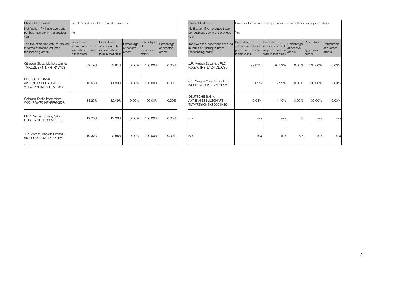| Class of Instrument                                                                   |                                                                             | Credit Derivatives - Other credit derivatives                               |                                    |                                          |                                     |  |  |  |  |
|---------------------------------------------------------------------------------------|-----------------------------------------------------------------------------|-----------------------------------------------------------------------------|------------------------------------|------------------------------------------|-------------------------------------|--|--|--|--|
| Notification if <1 average trade<br>per business day in the previous<br>year          | <b>No</b>                                                                   |                                                                             |                                    |                                          |                                     |  |  |  |  |
| Top five execution venues ranked<br>in terms of trading volumes<br>(descending order) | Proportion of<br>volume traded as a<br>percentage of total<br>in that class | Proportion of<br>orders executed<br>as percentage of<br>total in that class | Percentage<br>of passive<br>orders | Percentage<br>of<br>aggressive<br>orders | Percentage<br>of directed<br>orders |  |  |  |  |
| Citigroup Global Markets Limited<br>- XKZZ2JZF41MRHTR1V493                            | 22.19%                                                                      | 22.81%                                                                      | $0.00\%$                           | 100.00%                                  | 0.00%                               |  |  |  |  |
| <b>DEUTSCHE BANK</b><br>AKTIENGESELLSCHAFT -<br>7LTWFZYICNSX8D621K86                  | 15.66%                                                                      | 11.80%                                                                      | 0.00%                              | 100.00%                                  | 0.00%                               |  |  |  |  |
| Goldman Sachs International -<br>W22LROWP2IHZNBB6K528                                 | 14.22%                                                                      | 12.49%                                                                      | $0.00\%$                           | 100.00%                                  | 0.00%                               |  |  |  |  |
| BNP Paribas (Suisse) SA -<br>QHSFEYI7HUOXXZ413E03                                     | 12.76%                                                                      | 12.26%                                                                      | $0.00\%$                           | 100.00%                                  | 0.00%                               |  |  |  |  |
| J.P. Morgan Markets Limited -<br>5493002SLHKGT77FYU25                                 | 10.32%                                                                      | 8.85%                                                                       | $0.00\%$                           | 100.00%                                  | 0.00%                               |  |  |  |  |

| Class of Instrument                                                                   | Currency Derivatives - Swaps, forwards, and other currency derivatives      |                                                                             |                                    |                                          |                                     |
|---------------------------------------------------------------------------------------|-----------------------------------------------------------------------------|-----------------------------------------------------------------------------|------------------------------------|------------------------------------------|-------------------------------------|
| Notification if <1 average trade<br>per business day in the previous<br>year          | Yes                                                                         |                                                                             |                                    |                                          |                                     |
| Top five execution venues ranked<br>in terms of trading volumes<br>(descending order) | Proportion of<br>volume traded as a<br>percentage of total<br>in that class | Proportion of<br>orders executed<br>as percentage of<br>total in that class | Percentage<br>of passive<br>orders | Percentage<br>of<br>aggressive<br>orders | Percentage<br>of directed<br>orders |
| J.P. Morgan Securities PLC -<br>K6Q0W1PS1L1O4IQL9C32                                  | 99.83%                                                                      | 95.52%                                                                      | 0.00%                              | 100.00%                                  | 0.00%                               |
| J.P. Morgan Markets Limited -<br>5493002SLHKGT77FYU25                                 | 0.09%                                                                       | 2.99%                                                                       | 0.00%                              | 100.00%                                  | 0.00%                               |
| <b>DEUTSCHE BANK</b><br>AKTIENGESELLSCHAFT -<br>7LTWFZYICNSX8D621K86                  | 0.08%                                                                       | 1.49%                                                                       | 0.00%                              | 100.00%                                  | 0.00%                               |
| n/a                                                                                   | n/a                                                                         | n/a                                                                         | n/a                                | n/a                                      | n/a                                 |
| n/a                                                                                   | n/a                                                                         | n/a                                                                         | n/a                                | n/a                                      | n/a                                 |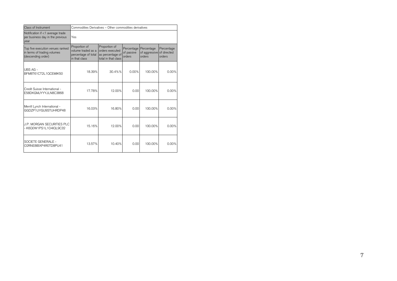| Class of Instrument                                                                   | Commodities Derivatives - Other commodities derivatives                     |                                                                             |                                    |                                       |                                     |
|---------------------------------------------------------------------------------------|-----------------------------------------------------------------------------|-----------------------------------------------------------------------------|------------------------------------|---------------------------------------|-------------------------------------|
| Notification if <1 average trade<br>per business day in the previous<br>year          | Yes                                                                         |                                                                             |                                    |                                       |                                     |
| Top five execution venues ranked<br>in terms of trading volumes<br>(descending order) | Proportion of<br>volume traded as a<br>percentage of total<br>in that class | Proportion of<br>orders executed<br>as percentage of<br>total in that class | Percentage<br>of passive<br>orders | Percentage<br>of aggressive<br>orders | Percentage<br>of directed<br>orders |
| UBS AG -<br>BFM8T61CT2L1QCEMIK50                                                      | 18.39%                                                                      | 30.4%%                                                                      | 0.00%                              | 100.00%                               | 0.00%                               |
| Credit Suisse International -<br>E58DKGMJYYYJLN8C3868                                 | 17.78%                                                                      | 12.00%                                                                      | 0.00                               | 100.00%                               | 0.00%                               |
| Merrill Lynch International -<br>GGDZP1UYGU9STUHRDP48                                 | 16.03%                                                                      | 16.80%                                                                      | 0.00                               | 100.00%                               | 0.00%                               |
| <b>J.P. MORGAN SECURITIES PLC</b><br>- K600W1PS1L1O4IQL9C32                           | 15.16%                                                                      | 12.00%                                                                      | 0.00                               | 100.00%                               | 0.00%                               |
| SOCIETE GENERALE -<br>O2RNE8IBXP4R0TD8PU41                                            | 13.57%                                                                      | 10.40%                                                                      | 0.00                               | 100.00%                               | 0.00%                               |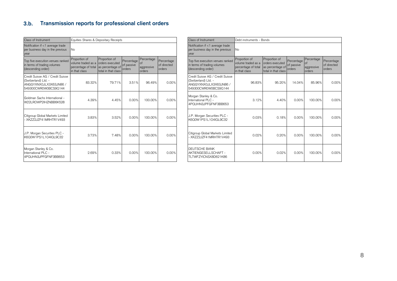# **3.b. Transmission reports for professional client orders**

<span id="page-7-0"></span>

| Class of Instrument                                                                                        |                                                                             | Equities Shares & Depositary Receipts                                                                                                                                |          |         |                                     |  |
|------------------------------------------------------------------------------------------------------------|-----------------------------------------------------------------------------|----------------------------------------------------------------------------------------------------------------------------------------------------------------------|----------|---------|-------------------------------------|--|
| Notification if <1 average trade<br>per business day in the previous<br>year                               | No                                                                          |                                                                                                                                                                      |          |         |                                     |  |
| Top five execution venues ranked<br>in terms of trading volumes<br>(descending order)                      | Proportion of<br>volume traded as a<br>percentage of total<br>in that class | Proportion of<br>Percentage<br>Percentage<br>orders executed<br>$\circ$ f<br>of passive<br>as percentage of<br>aggressive<br>orders<br>total in that class<br>orders |          |         | Percentage<br>of directed<br>orders |  |
| Credit Suisse AG / Credit Suisse<br>(Switzerland) Ltd. -<br>ANGGYXNX0JLX3X63JN86 /<br>549300CWR0W0BCS9Q144 | 83.32%                                                                      | 79.71%                                                                                                                                                               | 3.51%    | 96.49%  | $0.00\%$                            |  |
| Goldman Sachs International -<br>W22LROWP2IHZNBB6K528                                                      | 4.39%                                                                       | 4.45%                                                                                                                                                                | $0.00\%$ | 100.00% | 0.00%                               |  |
| Citigroup Global Markets Limited<br>- XKZZ2JZF41MRHTR1V493                                                 | 3.83%                                                                       | 3.52%                                                                                                                                                                | $0.00\%$ | 100.00% | $0.00\%$                            |  |
| J.P. Morgan Securities PLC -<br>K6Q0W1PS1L1O4IQL9C32                                                       | 3.73%                                                                       | 7.48%                                                                                                                                                                | $0.00\%$ | 100.00% | $0.00\%$                            |  |
| Morgan Stanley & Co.<br>International PLC -<br>4POUHN3JPFGFNF3BB653                                        | 2.69%                                                                       | 0.33%                                                                                                                                                                | $0.00\%$ | 100.00% | $0.00\%$                            |  |

| Class of Instrument                                                                                        | Debt instruments - Bonds                                                    |                                                                             |                                                                                        |         |                                     |  |
|------------------------------------------------------------------------------------------------------------|-----------------------------------------------------------------------------|-----------------------------------------------------------------------------|----------------------------------------------------------------------------------------|---------|-------------------------------------|--|
| Notification if <1 average trade<br>per business day in the previous<br>vear                               | No                                                                          |                                                                             |                                                                                        |         |                                     |  |
| Top five execution venues ranked<br>in terms of trading volumes<br>(descending order)                      | Proportion of<br>volume traded as a<br>percentage of total<br>in that class | Proportion of<br>orders executed<br>as percentage of<br>total in that class | Percentage<br>Percentage<br>$\sigma$ f<br>of passive<br>aggressive<br>orders<br>orders |         | Percentage<br>of directed<br>orders |  |
| Credit Suisse AG / Credit Suisse<br>(Switzerland) Ltd. -<br>ANGGYXNXOJLX3X63JN86 /<br>549300CWR0W0BCS9Q144 | 96.83%                                                                      | 95.20%                                                                      | 14.04%                                                                                 | 85.96%  | 0.00%                               |  |
| Morgan Stanley & Co.<br>International PLC -<br>4PQUHN3JPFGFNF3BB653                                        | 3.12%                                                                       | 4.40%                                                                       | 0.00%                                                                                  | 100.00% | 0.00%                               |  |
| J.P. Morgan Securities PLC -<br>K6Q0W1PS1L1O4IQL9C32                                                       | 0.03%                                                                       | 0.18%                                                                       | 0.00%                                                                                  | 100.00% | 0.00%                               |  |
| Citigroup Global Markets Limited<br>- XKZZ2JZF41MRHTR1V493                                                 | 0.02%                                                                       | 0.20%                                                                       | 0.00%                                                                                  | 100.00% | 0.00%                               |  |
| <b>DEUTSCHE BANK</b><br>AKTIENGESELLSCHAFT -<br>7LTWFZYICNSX8D621K86                                       | 0.00%                                                                       | 0.02%                                                                       | 0.00%                                                                                  | 100.00% | 0.00%                               |  |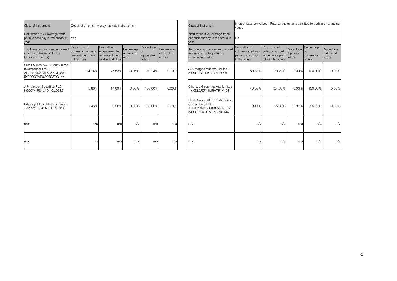| Class of Instrument                                                                                        | Debt instruments - Money markets instruments                                |                                                                             |                                    |                                                 |                                     |  |  |  |
|------------------------------------------------------------------------------------------------------------|-----------------------------------------------------------------------------|-----------------------------------------------------------------------------|------------------------------------|-------------------------------------------------|-------------------------------------|--|--|--|
| Notification if <1 average trade<br>per business day in the previous<br>year                               | Yes                                                                         |                                                                             |                                    |                                                 |                                     |  |  |  |
| Top five execution venues ranked<br>in terms of trading volumes<br>(descending order)                      | Proportion of<br>volume traded as a<br>percentage of total<br>in that class | Proportion of<br>orders executed<br>as percentage of<br>total in that class | Percentage<br>of passive<br>orders | Percentage<br>$\circ$ f<br>aggressive<br>orders | Percentage<br>of directed<br>orders |  |  |  |
| Credit Suisse AG / Credit Suisse<br>(Switzerland) Ltd. -<br>ANGGYXNX0JLX3X63JN86 /<br>549300CWR0W0BCS9Q144 | 94.74%                                                                      | 75.53%                                                                      | 9.86%                              | 90.14%                                          | 0.00%                               |  |  |  |
| J.P. Morgan Securities PLC -<br>K6Q0W1PS1L1O4IQL9C32                                                       | 3.80%                                                                       | 14.89%                                                                      | $0.00\%$                           | 100.00%                                         | 0.00%                               |  |  |  |
| Citigroup Global Markets Limited<br>- XKZZ2JZF41MRHTR1V493                                                 | 1.46%                                                                       | 9.58%                                                                       | 0.00%                              | 100.00%                                         | 0.00%                               |  |  |  |
| n/a                                                                                                        | n/a                                                                         | n/a                                                                         | n/a                                | n/a                                             | n/a                                 |  |  |  |
| n/a                                                                                                        | n/a                                                                         | n/a                                                                         | n/a                                | n/a                                             | n/a                                 |  |  |  |

| Class of Instrument                                                                                        | venue                                                                       | Interest rates derivatives - Futures and options admitted to trading on a trading |                                    |                                                  |                                     |  |  |
|------------------------------------------------------------------------------------------------------------|-----------------------------------------------------------------------------|-----------------------------------------------------------------------------------|------------------------------------|--------------------------------------------------|-------------------------------------|--|--|
| Notification if <1 average trade<br>per business day in the previous<br>year                               | No                                                                          |                                                                                   |                                    |                                                  |                                     |  |  |
| Top five execution venues ranked<br>in terms of trading volumes<br>(descending order)                      | Proportion of<br>volume traded as a<br>percentage of total<br>in that class | Proportion of<br>orders executed<br>as percentage of<br>total in that class       | Percentage<br>of passive<br>orders | Percentage<br>$\alpha$ f<br>aggressive<br>orders | Percentage<br>of directed<br>orders |  |  |
| J.P. Morgan Markets Limited -<br>5493002SLHKGT77FYU25                                                      | 50.93%                                                                      | 39.29%                                                                            | 0.00%                              | 100.00%                                          | $0.00\%$                            |  |  |
| Citigroup Global Markets Limited<br>- XKZZ2JZF41MRHTR1V493                                                 | 40.66%                                                                      | 34.85%                                                                            | $0.00\%$                           | 100.00%                                          | $0.00\%$                            |  |  |
| Credit Suisse AG / Credit Suisse<br>(Switzerland) Ltd. -<br>ANGGYXNXOJLX3X63JN86 /<br>549300CWR0W0BCS9Q144 | 8.41%                                                                       | 25.86%                                                                            | 3.87%                              | 96.13%                                           | 0.00%                               |  |  |
| n/a                                                                                                        | n/a                                                                         | n/a                                                                               | n/a                                | n/a                                              | n/a                                 |  |  |
| n/a                                                                                                        | n/a                                                                         | n/a                                                                               | n/a                                | n/a                                              | n/a                                 |  |  |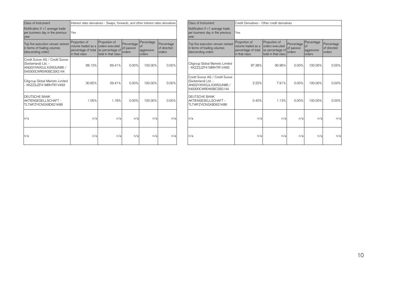| Class of Instrument                                                                                        | Interest rates derivatives - Swaps, forwards, and other interest rates derivatives |                                                                             |                                    |                                                  |          |  |
|------------------------------------------------------------------------------------------------------------|------------------------------------------------------------------------------------|-----------------------------------------------------------------------------|------------------------------------|--------------------------------------------------|----------|--|
| Notification if <1 average trade<br>per business day in the previous<br>year                               | Yes                                                                                |                                                                             |                                    |                                                  |          |  |
| Top five execution venues ranked<br>in terms of trading volumes<br>(descending order)                      | Proportion of<br>volume traded as a<br>percentage of total<br>in that class        | Proportion of<br>orders executed<br>as percentage of<br>total in that class | Percentage<br>of passive<br>orders | Percentage<br>$\sigma$ f<br>aggressive<br>orders |          |  |
| Credit Suisse AG / Credit Suisse<br>(Switzerland) Ltd. -<br>ANGGYXNX0JLX3X63JN86 /<br>549300CWR0W0BCS9Q144 | 68.13%                                                                             | 69.41%                                                                      | $0.00\%$                           | 100.00%                                          | 0.00%    |  |
| Citigroup Global Markets Limited<br>- XKZZ2JZF41MRHTR1V493                                                 | 30.82%                                                                             | 29.41%                                                                      | $0.00\%$                           | 100.00%                                          | $0.00\%$ |  |
| <b>DEUTSCHE BANK</b><br>AKTIENGESELLSCHAFT -<br>7LTWFZYICNSX8D621K86                                       | 1.05%                                                                              | 1.18%                                                                       | 0.00%                              | 100.00%                                          | 0.00%    |  |
| n/a                                                                                                        | n/a                                                                                | n/a                                                                         | n/a                                | n/a                                              | n/a      |  |
| n/a                                                                                                        | n/a                                                                                | n/a                                                                         | n/a                                | n/a                                              | n/a      |  |

| Class of Instrument                                                                                        | Credit Derivatives - Other credit derivatives                               |                                                                             |                                    |                                          |                                     |
|------------------------------------------------------------------------------------------------------------|-----------------------------------------------------------------------------|-----------------------------------------------------------------------------|------------------------------------|------------------------------------------|-------------------------------------|
| Notification if <1 average trade<br>per business day in the previous<br>year                               | Yes                                                                         |                                                                             |                                    |                                          |                                     |
| Top five execution venues ranked<br>in terms of trading volumes<br>(descending order)                      | Proportion of<br>volume traded as a<br>percentage of total<br>in that class | Proportion of<br>orders executed<br>as percentage of<br>total in that class | Percentage<br>of passive<br>orders | Percentage<br>of<br>aggressive<br>orders | Percentage<br>of directed<br>orders |
| Citigroup Global Markets Limited<br>- XKZZ2JZF41MRHTR1V493                                                 | 97.38%                                                                      | 90.96%                                                                      | 0.00%                              | 100.00%                                  | 0.00%                               |
| Credit Suisse AG / Credit Suisse<br>(Switzerland) Ltd. -<br>ANGGYXNXOJLX3X63JN86 /<br>549300CWR0W0BCS9Q144 | 2.22%                                                                       | 7.91%                                                                       | 0.00%                              | 100.00%                                  | 0.00%                               |
| <b>DEUTSCHE BANK</b><br>AKTIENGESELLSCHAFT -<br>7LTWFZYICNSX8D621K86                                       | 0.40%                                                                       | 1.13%                                                                       | 0.00%                              | 100.00%                                  | 0.00%                               |
| n/a                                                                                                        | n/a                                                                         | n/a                                                                         | n/a                                | n/a                                      | n/a                                 |
| n/a                                                                                                        | n/a                                                                         | n/a                                                                         | n/a                                | n/a                                      | n/a                                 |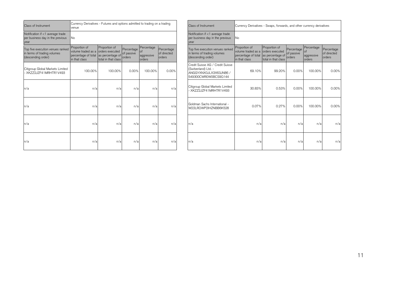| Class of Instrument                                                                   | Currency Derivatives - Futures and options admitted to trading on a trading<br>venue |                                                                             |                                    |                                                 |                                     |
|---------------------------------------------------------------------------------------|--------------------------------------------------------------------------------------|-----------------------------------------------------------------------------|------------------------------------|-------------------------------------------------|-------------------------------------|
| Notification if <1 average trade<br>per business day in the previous<br>year          | No                                                                                   |                                                                             |                                    |                                                 |                                     |
| Top five execution venues ranked<br>in terms of trading volumes<br>(descending order) | Proportion of<br>volume traded as a<br>percentage of total<br>in that class          | Proportion of<br>orders executed<br>as percentage of<br>total in that class | Percentage<br>of passive<br>orders | Percentage<br>$\circ$ f<br>aggressive<br>orders | Percentage<br>of directed<br>orders |
| Citigroup Global Markets Limited<br>- XKZZ2JZF41MRHTR1V493                            | 100.00%                                                                              | 100.00%                                                                     | $0.00\%$                           | 100.00%                                         | 0.00%                               |
| n/a                                                                                   | n/a                                                                                  | n/a                                                                         | n/a                                | n/a                                             | n/a                                 |
| n/a                                                                                   | n/a                                                                                  | n/a                                                                         | n/a                                | n/a                                             | n/a                                 |
| n/a                                                                                   | n/a                                                                                  | n/a                                                                         | n/a                                | n/a                                             | n/a                                 |
| n/a                                                                                   | n/a                                                                                  | n/a                                                                         | n/a                                | n/a                                             | n/a                                 |

| Class of Instrument                                                                                        | Currency Derivatives - Swaps, forwards, and other currency derivatives      |                                                                             |                                    |                                          |                                     |
|------------------------------------------------------------------------------------------------------------|-----------------------------------------------------------------------------|-----------------------------------------------------------------------------|------------------------------------|------------------------------------------|-------------------------------------|
| Notification if <1 average trade<br>per business day in the previous<br>year                               | No                                                                          |                                                                             |                                    |                                          |                                     |
| Top five execution venues ranked<br>in terms of trading volumes<br>(descending order)                      | Proportion of<br>volume traded as a<br>percentage of total<br>in that class | Proportion of<br>orders executed<br>as percentage of<br>total in that class | Percentage<br>of passive<br>orders | Percentage<br>of<br>aggressive<br>orders | Percentage<br>of directed<br>orders |
| Credit Suisse AG / Credit Suisse<br>(Switzerland) Ltd. -<br>ANGGYXNXOJLX3X63JN86 /<br>549300CWR0W0BCS9Q144 | 69.10%                                                                      | 99.20%                                                                      | 0.00%                              | 100.00%                                  | $0.00\%$                            |
| Citigroup Global Markets Limited<br>- XKZZ2JZF41MRHTR1V493                                                 | 30.83%                                                                      | 0.53%                                                                       | 0.00%                              | 100.00%                                  | $0.00\%$                            |
| Goldman Sachs International -<br>W22LROWP2IHZNBB6K528                                                      | 0.07%                                                                       | 0.27%                                                                       | 0.00%                              | 100.00%                                  | $0.00\%$                            |
| n/a                                                                                                        | n/a                                                                         | n/a                                                                         | n/a                                | n/a                                      | n/a                                 |
| n/a                                                                                                        | n/a                                                                         | n/a                                                                         | n/a                                | n/a                                      | n/a                                 |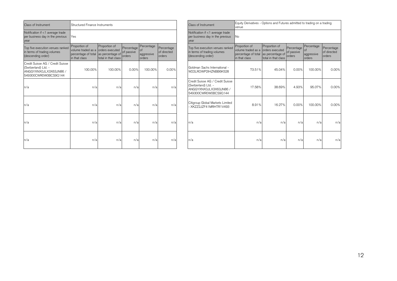| Class of Instrument                                                                                        | Structured Finance Instruments                                              |                                                                             |                                    |                                                 |                                     |
|------------------------------------------------------------------------------------------------------------|-----------------------------------------------------------------------------|-----------------------------------------------------------------------------|------------------------------------|-------------------------------------------------|-------------------------------------|
| Notification if <1 average trade<br>per business day in the previous<br>year                               | Yes                                                                         |                                                                             |                                    |                                                 |                                     |
| Top five execution venues ranked<br>in terms of trading volumes<br>(descending order)                      | Proportion of<br>volume traded as a<br>percentage of total<br>in that class | Proportion of<br>orders executed<br>as percentage of<br>total in that class | Percentage<br>of passive<br>orders | Percentage<br>$\circ$ f<br>aggressive<br>orders | Percentage<br>of directed<br>orders |
| Credit Suisse AG / Credit Suisse<br>(Switzerland) Ltd. -<br>ANGGYXNX0JLX3X63JN86 /<br>549300CWR0W0BCS9Q144 | 100.00%                                                                     | 100.00%                                                                     | 0.00%                              | 100.00%                                         | 0.00%                               |
| n/a                                                                                                        | n/a                                                                         | n/a                                                                         | n/a                                | n/a                                             | n/a                                 |
| n/a                                                                                                        | n/a                                                                         | n/a                                                                         | n/a                                | n/a                                             | n/a                                 |
| n/a                                                                                                        | n/a                                                                         | n/a                                                                         | n/a                                | n/a                                             | n/a                                 |
| n/a                                                                                                        | n/a                                                                         | n/a                                                                         | n/a                                | n/a                                             | n/a                                 |

| Class of Instrument                                                                                        | Equity Derivatives - Options and Futures admitted to trading on a trading<br>venue |                                                                             |                                    |                                                  |                                     |
|------------------------------------------------------------------------------------------------------------|------------------------------------------------------------------------------------|-----------------------------------------------------------------------------|------------------------------------|--------------------------------------------------|-------------------------------------|
| Notification if <1 average trade<br>per business day in the previous<br>year                               | No                                                                                 |                                                                             |                                    |                                                  |                                     |
| Top five execution venues ranked<br>in terms of trading volumes<br>(descending order)                      | Proportion of<br>volume traded as a<br>percentage of total<br>in that class        | Proportion of<br>orders executed<br>as percentage of<br>total in that class | Percentage<br>of passive<br>orders | Percentage<br>$\alpha$ f<br>aggressive<br>orders | Percentage<br>of directed<br>orders |
| Goldman Sachs International -<br>W22LROWP2IHZNBB6K528                                                      | 73.51%                                                                             | 45.04%                                                                      | 0.00%                              | 100.00%                                          | $0.00\%$                            |
| Credit Suisse AG / Credit Suisse<br>(Switzerland) Ltd. -<br>ANGGYXNXOJLX3X63JN86 /<br>549300CWR0W0BCS9Q144 | 17.58%                                                                             | 38.69%                                                                      | 4.93%                              | 95.07%                                           | $0.00\%$                            |
| Citigroup Global Markets Limited<br>- XKZZ2JZF41MRHTR1V493                                                 | 8.91%                                                                              | 16.27%                                                                      | 0.00%                              | 100.00%                                          | $0.00\%$                            |
| n/a                                                                                                        | n/a                                                                                | n/a                                                                         | n/a                                | n/a                                              | n/a                                 |
| n/a                                                                                                        | n/a                                                                                | n/a                                                                         | n/a                                | n/a                                              | n/a                                 |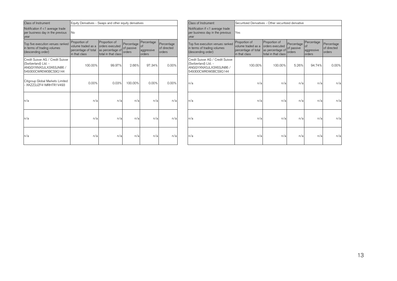| Class of Instrument                                                                                        | Equity Derivatives - Swaps and other equity derivatives                     |                                                                             |                                    |                                                  |                                     |
|------------------------------------------------------------------------------------------------------------|-----------------------------------------------------------------------------|-----------------------------------------------------------------------------|------------------------------------|--------------------------------------------------|-------------------------------------|
| Notification if <1 average trade<br>per business day in the previous<br>year                               | No                                                                          |                                                                             |                                    |                                                  |                                     |
| Top five execution venues ranked<br>in terms of trading volumes<br>(descending order)                      | Proportion of<br>volume traded as a<br>percentage of total<br>in that class | Proportion of<br>orders executed<br>as percentage of<br>total in that class | Percentage<br>of passive<br>orders | Percentage<br>$\sigma$ f<br>aggressive<br>orders | Percentage<br>of directed<br>orders |
| Credit Suisse AG / Credit Suisse<br>(Switzerland) Ltd. -<br>ANGGYXNX0JLX3X63JN86 /<br>549300CWR0W0BCS9Q144 | 100.00%                                                                     | 99.97%                                                                      | 2.66%                              | 97.34%                                           | 0.00%                               |
| Citigroup Global Markets Limited<br>- XKZZ2JZF41MRHTR1V493                                                 | 0.00%                                                                       | 0.03%                                                                       | 100.00%                            | $0.00\%$                                         | 0.00%                               |
| n/a                                                                                                        | n/a                                                                         | n/a                                                                         | n/a                                | n/a                                              | n/a                                 |
| n/a                                                                                                        | n/a                                                                         | n/a                                                                         | n/a                                | n/a                                              | n/a                                 |
| n/a                                                                                                        | n/a                                                                         | n/a                                                                         | n/a                                | n/a                                              | n/a                                 |

| Class of Instrument                                                                                        | Securitized Derivatives - Other securitized derivative                      |                                                                             |                                    |                                          |                                     |
|------------------------------------------------------------------------------------------------------------|-----------------------------------------------------------------------------|-----------------------------------------------------------------------------|------------------------------------|------------------------------------------|-------------------------------------|
| Notification if <1 average trade<br>per business day in the previous<br>year                               | Yes                                                                         |                                                                             |                                    |                                          |                                     |
| Top five execution venues ranked<br>in terms of trading volumes<br>(descending order)                      | Proportion of<br>volume traded as a<br>percentage of total<br>in that class | Proportion of<br>orders executed<br>as percentage of<br>total in that class | Percentage<br>of passive<br>orders | Percentage<br>of<br>aggressive<br>orders | Percentage<br>of directed<br>orders |
| Credit Suisse AG / Credit Suisse<br>(Switzerland) Ltd. -<br>ANGGYXNXOJLX3X63JN86 /<br>549300CWR0W0BCS9Q144 | 100.00%                                                                     | 100.00%                                                                     | 5.26%                              | 94.74%                                   | 0.00%                               |
| n/a                                                                                                        | n/a                                                                         | n/a                                                                         | n/a                                | n/a                                      | n/a                                 |
| n/a                                                                                                        | n/a                                                                         | n/a                                                                         | n/a                                | n/a                                      | n/a                                 |
| n/a                                                                                                        | n/a                                                                         | n/a                                                                         | n/a                                | n/a                                      | n/a                                 |
| n/a                                                                                                        | n/a                                                                         | n/a                                                                         | n/a                                | n/a                                      | n/a                                 |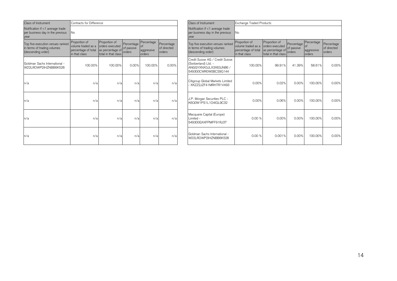| Class of Instrument                                                                   | <b>Contracts for Difference</b>                                             |                                                                             |                                    |                                          |                                     |
|---------------------------------------------------------------------------------------|-----------------------------------------------------------------------------|-----------------------------------------------------------------------------|------------------------------------|------------------------------------------|-------------------------------------|
| Notification if <1 average trade<br>per business day in the previous<br>year          | No                                                                          |                                                                             |                                    |                                          |                                     |
| Top five execution venues ranked<br>in terms of trading volumes<br>(descending order) | Proportion of<br>volume traded as a<br>percentage of total<br>in that class | Proportion of<br>orders executed<br>as percentage of<br>total in that class | Percentage<br>of passive<br>orders | Percentage<br>of<br>aggressive<br>orders | Percentage<br>of directed<br>orders |
| Goldman Sachs International -<br>W22LROWP2IHZNBB6K528                                 | 100.00%                                                                     | 100.00%                                                                     | 0.00%                              | 100.00%                                  | 0.00%                               |
| n/a                                                                                   | n/a                                                                         | n/a                                                                         | n/a                                | n/a                                      | n/a                                 |
| n/a                                                                                   | n/a                                                                         | n/a                                                                         | n/a                                | n/a                                      | n/a                                 |
| n/a                                                                                   | n/a                                                                         | n/a                                                                         | n/a                                | n/a                                      | n/a                                 |
| n/a                                                                                   | n/a                                                                         | n/a                                                                         | n/a                                | n/a                                      | n/a                                 |

| Class of Instrument                                                                                        | <b>Exchange Traded Products</b>                                             |                                                                             |                                    |                                                  |                                     |
|------------------------------------------------------------------------------------------------------------|-----------------------------------------------------------------------------|-----------------------------------------------------------------------------|------------------------------------|--------------------------------------------------|-------------------------------------|
| Notification if <1 average trade<br>per business day in the previous<br>year                               | No                                                                          |                                                                             |                                    |                                                  |                                     |
| Top five execution venues ranked<br>in terms of trading volumes<br>(descending order)                      | Proportion of<br>volume traded as a<br>percentage of total<br>in that class | Proportion of<br>orders executed<br>as percentage of<br>total in that class | Percentage<br>of passive<br>orders | Percentage<br>$\sigma$ f<br>aggressive<br>orders | Percentage<br>of directed<br>orders |
| Credit Suisse AG / Credit Suisse<br>(Switzerland) Ltd. -<br>ANGGYXNXOJLX3X63JN86 /<br>549300CWR0W0BCS9Q144 | 100.00%                                                                     | 99.91%                                                                      | 41.39%                             | 58.61%                                           | 0.00%                               |
| Citigroup Global Markets Limited<br>- XKZZ2JZF41MRHTR1V493                                                 | 0.00%                                                                       | 0.02%                                                                       | 0.00%                              | 100.00%                                          | 0.00%                               |
| J.P. Morgan Securities PLC -<br>K600W1PS1L104IQL9C32                                                       | $0.00\%$                                                                    | 0.06%                                                                       | 0.00%                              | 100.00%                                          | 0.00%                               |
| Macquarie Capital (Europe)<br>Limited -<br>549300GX4FPMFF91RJ37                                            | 0.00%                                                                       | 0.00%                                                                       | $0.00\%$                           | 100.00%                                          | 0.00%                               |
| Goldman Sachs International -<br>W22LROWP2IHZNBB6K528                                                      | 0.00%                                                                       | 0.001%                                                                      | 0.00%                              | 100.00%                                          | 0.00%                               |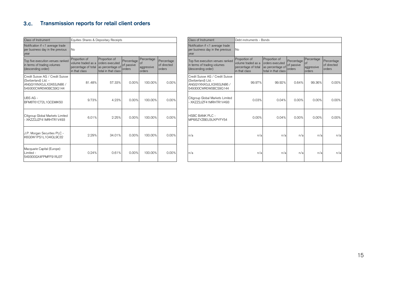# **3.c. Transmission reports for retail client orders**

<span id="page-14-0"></span>

| Class of Instrument                                                                                        | Equities Shares & Depositary Receipts                                       |                                                                             |                                    |                                          |                                     |
|------------------------------------------------------------------------------------------------------------|-----------------------------------------------------------------------------|-----------------------------------------------------------------------------|------------------------------------|------------------------------------------|-------------------------------------|
| Notification if <1 average trade<br>per business day in the previous<br>year                               | No                                                                          |                                                                             |                                    |                                          |                                     |
| Top five execution venues ranked<br>in terms of trading volumes<br>(descending order)                      | Proportion of<br>volume traded as a<br>percentage of total<br>in that class | Proportion of<br>orders executed<br>as percentage of<br>total in that class | Percentage<br>of passive<br>orders | Percentage<br>of<br>aggressive<br>orders | Percentage<br>of directed<br>orders |
| Credit Suisse AG / Credit Suisse<br>(Switzerland) Ltd. -<br>ANGGYXNX0JLX3X63JN86 /<br>549300CWR0W0BCS9Q144 | 81.48%                                                                      | 57.33%                                                                      | $0.00\%$                           | 100.00%                                  | 0.00%                               |
| UBS AG -<br>BEM8T61CT2L1QCEMIK50                                                                           | 9.73%                                                                       | 4.23%                                                                       | $0.00\%$                           | 100.00%                                  | 0.00%                               |
| Citigroup Global Markets Limited<br>- XKZZ2JZF41MRHTR1V493                                                 | 6.01%                                                                       | 2.25%                                                                       | $0.00\%$                           | 100.00%                                  | $0.00\%$                            |
| J.P. Morgan Securities PLC -<br>K6Q0W1PS1L1O4IQL9C32                                                       | 2.29%                                                                       | 34.01%                                                                      | $0.00\%$                           | 100.00%                                  | 0.00%                               |
| Macquarie Capital (Europe)<br>Limited -<br>549300GX4FPMFF91RJ37                                            | 0.24%                                                                       | 0.61%                                                                       | $0.00\%$                           | 100.00%                                  | $0.00\%$                            |

| Class of Instrument                                                                                        | Debt instruments - Bonds                                                    |                                                                             |                                    |                                                  |                                     |
|------------------------------------------------------------------------------------------------------------|-----------------------------------------------------------------------------|-----------------------------------------------------------------------------|------------------------------------|--------------------------------------------------|-------------------------------------|
| Notification if <1 average trade<br>per business day in the previous<br>year                               | No                                                                          |                                                                             |                                    |                                                  |                                     |
| Top five execution venues ranked<br>in terms of trading volumes<br>(descending order)                      | Proportion of<br>volume traded as a<br>percentage of total<br>in that class | Proportion of<br>orders executed<br>as percentage of<br>total in that class | Percentage<br>of passive<br>orders | Percentage<br>$\sigma$ f<br>aggressive<br>orders | Percentage<br>of directed<br>orders |
| Credit Suisse AG / Credit Suisse<br>(Switzerland) Ltd. -<br>ANGGYXNXOJLX3X63JN86 /<br>549300CWR0W0BCS9Q144 | 99.97%                                                                      | 99.92%                                                                      | 0.64%                              | 99.36%                                           | 0.00%                               |
| Citigroup Global Markets Limited<br>- XKZZ2JZF41MRHTR1V493                                                 | 0.03%                                                                       | 0.04%                                                                       | 0.00%                              | $0.00\%$                                         | 0.00%                               |
| <b>HSBC BANK PLC -</b><br>MP6I5ZYZBEU3UXPYFY54                                                             | 0.00%                                                                       | 0.04%                                                                       | 0.00%                              | 0.00%                                            | 0.00%                               |
| n/a                                                                                                        | n/a                                                                         | n/a                                                                         | n/a                                | n/a                                              | n/a                                 |
| n/a                                                                                                        | n/a                                                                         | n/a                                                                         | n/a                                | n/a                                              | n/a                                 |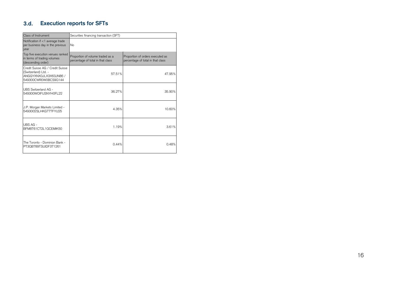# **3.d. Execution reports for SFTs**

<span id="page-15-0"></span>

| Class of Instrument                                                                                        | Securities financing transaction (SFT)                                |                                                                       |  |  |  |
|------------------------------------------------------------------------------------------------------------|-----------------------------------------------------------------------|-----------------------------------------------------------------------|--|--|--|
| Notification if <1 average trade<br>per business day in the previous<br>year                               | <b>No</b>                                                             |                                                                       |  |  |  |
| Top five execution venues ranked<br>in terms of trading volumes<br>(descending order)                      | Proportion of volume traded as a<br>percentage of total in that class | Proportion of orders executed as<br>percentage of total in that class |  |  |  |
| Credit Suisse AG / Credit Suisse<br>(Switzerland) Ltd. -<br>ANGGYXNX0JLX3X63JN86 /<br>549300CWR0W0BCS9Q144 | 57.51%                                                                | 47.95%                                                                |  |  |  |
| UBS Switzerland AG -<br>549300WOIFUSNYH0FL22                                                               | 36.27%                                                                | 35.90%                                                                |  |  |  |
| J.P. Morgan Markets Limited -<br>5493002SLHKGT77FYU25                                                      | 4.35%                                                                 | 10.60%                                                                |  |  |  |
| UBS AG -<br>BFM8T61CT2L1QCEMIK50                                                                           | 1.19%                                                                 | 3.61%                                                                 |  |  |  |
| The Toronto - Dominion Bank -<br>PT3QB789TSUIDF371261                                                      | 0.44%                                                                 | 0.48%                                                                 |  |  |  |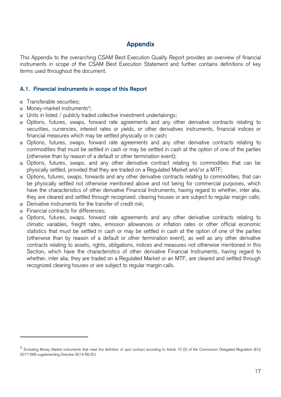#### **Appendix**

<span id="page-16-0"></span>This Appendix to the overarching CSAM Best Execution Quality Report provides an overview of financial instruments in scope of the CSAM Best Execution Statement and further contains definitions of key terms used throughout the document.

#### <span id="page-16-1"></span>**A.1. Financial instruments in scope of this Report**

- Transferable securities:
- Money-market instruments<sup>3</sup>;
- $\blacksquare$  Units in listed / publicly traded collective investment undertakings;
- Options, futures, swaps, forward rate agreements and any other derivative contracts relating to securities, currencies, interest rates or yields, or other derivatives instruments, financial indices or financial measures which may be settled physically or in cash;
- Options, futures, swaps, forward rate agreements and any other derivative contracts relating to commodities that must be settled in cash or may be settled in cash at the option of one of the parties (otherwise than by reason of a default or other termination event);
- Options, futures, swaps, and any other derivative contract relating to commodities that can be physically settled, provided that they are traded on a Regulated Market and/or a MTF;
- Options, futures, swaps, forwards and any other derivative contracts relating to commodities, that can be physically settled not otherwise mentioned above and not being for commercial purposes, which have the characteristics of other derivative Financial Instruments, having regard to whether, inter alia, they are cleared and settled through recognized. clearing houses or are subject to regular margin calls;
- Derivative instruments for the transfer of credit risk;
- Financial contracts for differences:

 $\overline{a}$ 

Options, futures, swaps, forward rate agreements and any other derivative contracts relating to climatic variables, freight rates, emission allowances or inflation rates or other official economic statistics that must be settled in cash or may be settled in cash at the option of one of the parties (otherwise than by reason of a default or other termination event), as well as any other derivative contracts relating to assets, rights, obligations, indices and measures not otherwise mentioned in this Section, which have the characteristics of other derivative Financial Instruments, having regard to whether, inter alia, they are traded on a Regulated Market or an MTF, are cleared and settled through recognized clearing houses or are subject to regular margin calls.

 $^3$  Excluding Money Market instruments that meet the definition of spot contract according to Article 10 (2) of the Commission Delegated Regulation (EU) 2017/565 supplementing Directive 2014/65/EU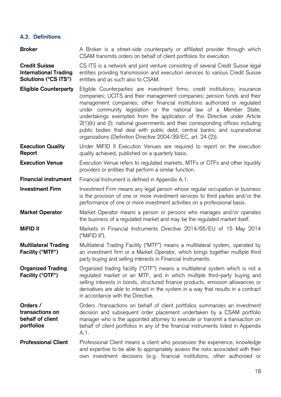#### <span id="page-17-0"></span>**A.2. Definitions**

| <b>Broker</b>                                                                | A Broker is a street-side counterparty or affiliated provider through which<br>CSAM transmits orders on behalf of client portfolios for execution.                                                                                                                                                                                                                                                                                                                                                                                                                                                                             |
|------------------------------------------------------------------------------|--------------------------------------------------------------------------------------------------------------------------------------------------------------------------------------------------------------------------------------------------------------------------------------------------------------------------------------------------------------------------------------------------------------------------------------------------------------------------------------------------------------------------------------------------------------------------------------------------------------------------------|
| <b>Credit Suisse</b><br><b>International Trading</b><br>Solutions ("CS ITS") | CS ITS is a network and joint venture consisting of several Credit Suisse legal<br>entities providing transmission and execution services to various Credit Suisse<br>entities and as such also to CSAM.                                                                                                                                                                                                                                                                                                                                                                                                                       |
| <b>Eligible Counterparty</b>                                                 | Eligible Counterparties are investment firms; credit institutions; insurance<br>companies; UCITS and their management companies; pension funds and their<br>management companies; other financial institutions authorized or regulated<br>under community legislation or the national law of a Member State;<br>undertakings exempted from the application of this Directive under Article<br>$2(1)(k)$ and (I); national governments and their corresponding offices including<br>public bodies that deal with public debt; central banks; and supranational<br>organizations (Definition Directive 2004/39/EC, art. 24 (2)). |
| <b>Execution Quality</b><br>Report                                           | Under MiFID II Execution Venues are required to report on the execution<br>quality achieved, published on a quarterly basis.                                                                                                                                                                                                                                                                                                                                                                                                                                                                                                   |
| <b>Execution Venue</b>                                                       | Execution Venue refers to regulated markets, MTFs or OTFs and other liquidity<br>providers or entities that perform a similar function.                                                                                                                                                                                                                                                                                                                                                                                                                                                                                        |
| <b>Financial instrument</b>                                                  | Financial Instrument is defined in Appendix A.1.                                                                                                                                                                                                                                                                                                                                                                                                                                                                                                                                                                               |
| <b>Investment Firm</b>                                                       | Investment Firm means any legal person whose regular occupation or business<br>is the provision of one or more investment services to third parties and/or the<br>performance of one or more investment activities on a professional basis.                                                                                                                                                                                                                                                                                                                                                                                    |
| <b>Market Operator</b>                                                       | Market Operator means a person or persons who manages and/or operates<br>the business of a regulated market and may be the regulated market itself.                                                                                                                                                                                                                                                                                                                                                                                                                                                                            |
| <b>MiFID II</b>                                                              | Markets in Financial Instruments Directive 2014/65/EU of 15 May 2014<br>("MiFID II").                                                                                                                                                                                                                                                                                                                                                                                                                                                                                                                                          |
| <b>Multilateral Trading</b><br>Facility ("MTF")                              | Multilateral Trading Facility ("MTF") means a multilateral system, operated by<br>an investment firm or a Market Operator, which brings together multiple third<br>party buying and selling interests in Financial Instruments.                                                                                                                                                                                                                                                                                                                                                                                                |
| <b>Organized Trading</b><br>Facility ("OTF")                                 | Organized trading facility ("OTF") means a multilateral system which is not a<br>regulated market or an MTF, and in which multiple third-party buying and<br>selling interests in bonds, structured finance products, emission allowances or<br>derivatives are able to interact in the system in a way that results in a contract<br>in accordance with the Directive.                                                                                                                                                                                                                                                        |
| Orders /<br>transactions on<br>behalf of client<br>portfolios                | Orders /transactions on behalf of client portfolios summarizes an investment<br>decision and subsequent order placement undertaken by a CSAM portfolio<br>manager who is the appointed attorney to execute or transmit a transaction on<br>behalf of client portfolios in any of the financial instruments listed in Appendix<br>A.1.                                                                                                                                                                                                                                                                                          |
| <b>Professional Client</b>                                                   | Professional Client means a client who possesses the experience, knowledge<br>and expertise to be able to appropriately assess the risks associated with their<br>own investment decisions (e.g. financial institutions, other authorized or                                                                                                                                                                                                                                                                                                                                                                                   |